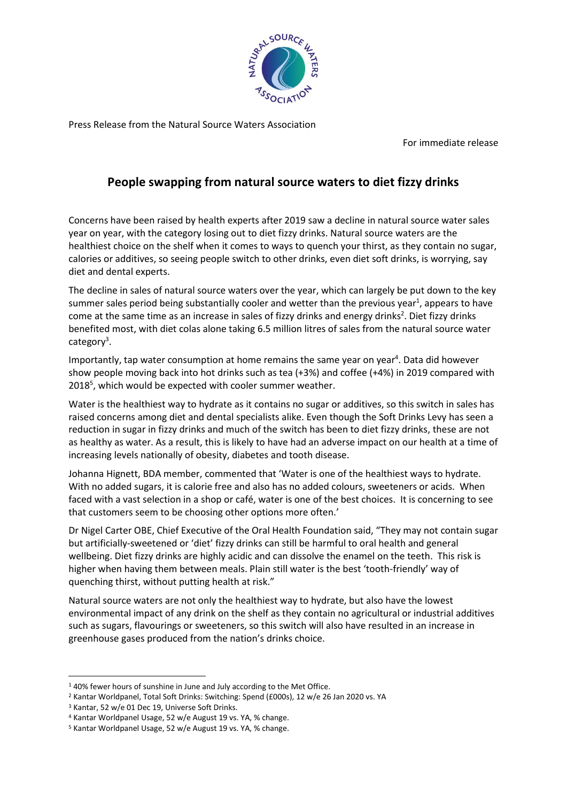

Press Release from the Natural Source Waters Association

For immediate release

## **People swapping from natural source waters to diet fizzy drinks**

Concerns have been raised by health experts after 2019 saw a decline in natural source water sales year on year, with the category losing out to diet fizzy drinks. Natural source waters are the healthiest choice on the shelf when it comes to ways to quench your thirst, as they contain no sugar, calories or additives, so seeing people switch to other drinks, even diet soft drinks, is worrying, say diet and dental experts.

The decline in sales of natural source waters over the year, which can largely be put down to the key summer sales period being substantially cooler and wetter than the previous year<sup>1</sup>, appears to have come at the same time as an increase in sales of fizzy drinks and energy drinks<sup>2</sup>. Diet fizzy drinks benefited most, with diet colas alone taking 6.5 million litres of sales from the natural source water category<sup>3</sup>.

Importantly, tap water consumption at home remains the same year on year<sup>4</sup>. Data did however show people moving back into hot drinks such as tea (+3%) and coffee (+4%) in 2019 compared with 2018<sup>5</sup>, which would be expected with cooler summer weather.

Water is the healthiest way to hydrate as it contains no sugar or additives, so this switch in sales has raised concerns among diet and dental specialists alike. Even though the Soft Drinks Levy has seen a reduction in sugar in fizzy drinks and much of the switch has been to diet fizzy drinks, these are not as healthy as water. As a result, this is likely to have had an adverse impact on our health at a time of increasing levels nationally of obesity, diabetes and tooth disease.

Johanna Hignett, BDA member, commented that 'Water is one of the healthiest ways to hydrate. With no added sugars, it is calorie free and also has no added colours, sweeteners or acids. When faced with a vast selection in a shop or café, water is one of the best choices. It is concerning to see that customers seem to be choosing other options more often.'

Dr Nigel Carter OBE, Chief Executive of the Oral Health Foundation said, "They may not contain sugar but artificially-sweetened or 'diet' fizzy drinks can still be harmful to oral health and general wellbeing. Diet fizzy drinks are highly acidic and can dissolve the enamel on the teeth. This risk is higher when having them between meals. Plain still water is the best 'tooth-friendly' way of quenching thirst, without putting health at risk."

Natural source waters are not only the healthiest way to hydrate, but also have the lowest environmental impact of any drink on the shelf as they contain no agricultural or industrial additives such as sugars, flavourings or sweeteners, so this switch will also have resulted in an increase in greenhouse gases produced from the nation's drinks choice.

<sup>&</sup>lt;sup>1</sup>40% fewer hours of sunshine in June and July according to the Met Office.

<sup>2</sup> Kantar Worldpanel, Total Soft Drinks: Switching: Spend (£000s), 12 w/e 26 Jan 2020 vs. YA

<sup>3</sup> Kantar, 52 w/e 01 Dec 19, Universe Soft Drinks.

<sup>4</sup> Kantar Worldpanel Usage, 52 w/e August 19 vs. YA, % change.

<sup>5</sup> Kantar Worldpanel Usage, 52 w/e August 19 vs. YA, % change.